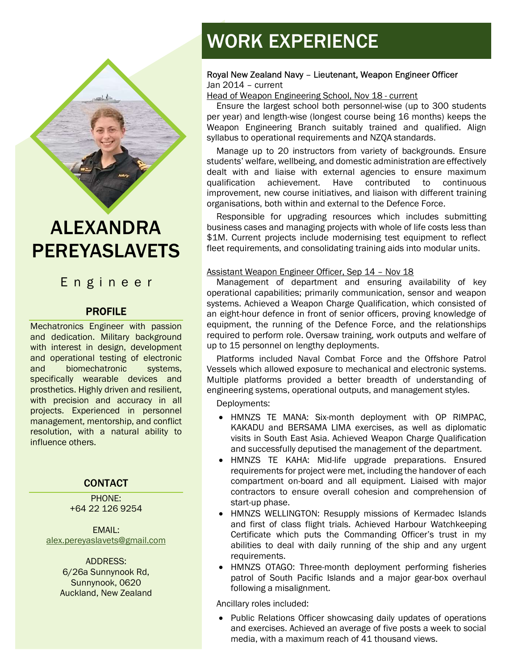

## ALEXANDRA PEREYASLAVETS

## E n g i n e e r

### PROFILE

Mechatronics Engineer with passion and dedication. Military background with interest in design, development and operational testing of electronic and biomechatronic systems, specifically wearable devices and prosthetics. Highly driven and resilient, with precision and accuracy in all projects. Experienced in personnel management, mentorship, and conflict resolution, with a natural ability to influence others.

#### **CONTACT**

PHONE: +64 22 126 9254

EMAIL: alex.pereyaslavets@gmail.com

ADDRESS: 6/26a Sunnynook Rd, Sunnynook, 0620 Auckland, New Zealand

# WORK EXPERIENCE

#### Royal New Zealand Navy – Lieutenant, Weapon Engineer Officer Jan 2014 – current

Head of Weapon Engineering School, Nov 18 - current

Ensure the largest school both personnel-wise (up to 300 students per year) and length-wise (longest course being 16 months) keeps the Weapon Engineering Branch suitably trained and qualified. Align syllabus to operational requirements and NZQA standards.

Manage up to 20 instructors from variety of backgrounds. Ensure students' welfare, wellbeing, and domestic administration are effectively dealt with and liaise with external agencies to ensure maximum qualification achievement. Have contributed to continuous improvement, new course initiatives, and liaison with different training organisations, both within and external to the Defence Force.

Responsible for upgrading resources which includes submitting business cases and managing projects with whole of life costs less than \$1M. Current projects include modernising test equipment to reflect fleet requirements, and consolidating training aids into modular units.

#### Assistant Weapon Engineer Officer, Sep 14 – Nov 18

Management of department and ensuring availability of key operational capabilities; primarily communication, sensor and weapon systems. Achieved a Weapon Charge Qualification, which consisted of an eight-hour defence in front of senior officers, proving knowledge of equipment, the running of the Defence Force, and the relationships required to perform role. Oversaw training, work outputs and welfare of up to 15 personnel on lengthy deployments.

Platforms included Naval Combat Force and the Offshore Patrol Vessels which allowed exposure to mechanical and electronic systems. Multiple platforms provided a better breadth of understanding of engineering systems, operational outputs, and management styles.

Deployments:

- HMNZS TE MANA: Six-month deployment with OP RIMPAC, KAKADU and BERSAMA LIMA exercises, as well as diplomatic visits in South East Asia. Achieved Weapon Charge Qualification and successfully deputised the management of the department.
- HMNZS TE KAHA: Mid-life upgrade preparations. Ensured requirements for project were met, including the handover of each compartment on-board and all equipment. Liaised with major contractors to ensure overall cohesion and comprehension of start-up phase.
- HMNZS WELLINGTON: Resupply missions of Kermadec Islands and first of class flight trials. Achieved Harbour Watchkeeping Certificate which puts the Commanding Officer's trust in my abilities to deal with daily running of the ship and any urgent requirements.
- HMNZS OTAGO: Three-month deployment performing fisheries patrol of South Pacific Islands and a major gear-box overhaul following a misalignment.

Ancillary roles included:

• Public Relations Officer showcasing daily updates of operations and exercises. Achieved an average of five posts a week to social media, with a maximum reach of 41 thousand views.